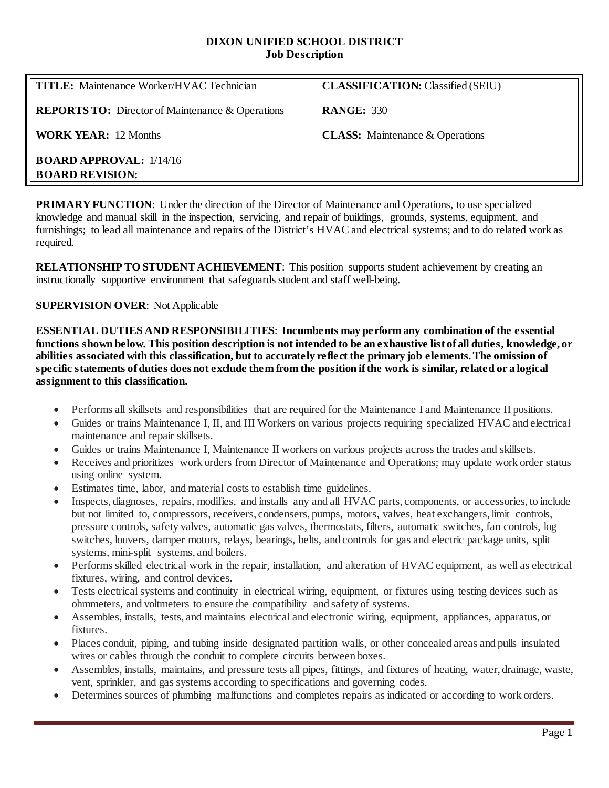### **DIXON UNIFIED SCHOOL DISTRICT Job Description**

| <b>TITLE:</b> Maintenance Worker/HVAC Technician           | <b>CLASSIFICATION: Classified (SEIU)</b> |
|------------------------------------------------------------|------------------------------------------|
| <b>REPORTS TO:</b> Director of Maintenance & Operations    | <b>RANGE: 330</b>                        |
| <b>WORK YEAR:</b> 12 Months                                | <b>CLASS:</b> Maintenance & Operations   |
| <b>BOARD APPROVAL:</b> $1/14/16$<br><b>BOARD REVISION:</b> |                                          |

**PRIMARY FUNCTION:** Under the direction of the Director of Maintenance and Operations, to use specialized knowledge and manual skill in the inspection, servicing, and repair of buildings, grounds, systems, equipment, and furnishings; to lead all maintenance and repairs of the District's HVAC and electrical systems; and to do related work as required.

**RELATIONSHIP TO STUDENT ACHIEVEMENT:** This position supports student achievement by creating an instructionally supportive environment that safeguards student and staff well-being.

# **SUPERVISION OVER**: Not Applicable

**ESSENTIAL DUTIES AND RESPONSIBILITIES**: **Incumbents may perform any combination of the essential functions shown below. This position description is not intended to be an exhaustive list of all duties, knowledge, or abilities associated with this classification, but to accurately reflect the primary job elements. The omission of specific statements of duties does not exclude them from the position if the work is similar, related or a logical assignment to this classification.**

- Performs all skillsets and responsibilities that are required for the Maintenance I and Maintenance II positions.
- Guides or trains Maintenance I, II, and III Workers on various projects requiring specialized HVAC and electrical maintenance and repair skillsets.
- Guides or trains Maintenance I, Maintenance II workers on various projects across the trades and skillsets.
- Receives and prioritizes work orders from Director of Maintenance and Operations; may update work order status using online system.
- Estimates time, labor, and material costs to establish time guidelines.
- Inspects, diagnoses, repairs, modifies, and installs any and all HVAC parts, components, or accessories, to include but not limited to, compressors, receivers, condensers, pumps, motors, valves, heat exchangers, limit controls, pressure controls, safety valves, automatic gas valves, thermostats, filters, automatic switches, fan controls, log switches, louvers, damper motors, relays, bearings, belts, and controls for gas and electric package units, split systems, mini-split systems, and boilers.
- Performs skilled electrical work in the repair, installation, and alteration of HVAC equipment, as well as electrical fixtures, wiring, and control devices.
- Tests electrical systems and continuity in electrical wiring, equipment, or fixtures using testing devices such as ohmmeters, and voltmeters to ensure the compatibility and safety of systems.
- Assembles, installs, tests, and maintains electrical and electronic wiring, equipment, appliances, apparatus, or fixtures.
- Places conduit, piping, and tubing inside designated partition walls, or other concealed areas and pulls insulated wires or cables through the conduit to complete circuits between boxes.
- Assembles, installs, maintains, and pressure tests all pipes, fittings, and fixtures of heating, water, drainage, waste, vent, sprinkler, and gas systems according to specifications and governing codes.
- Determines sources of plumbing malfunctions and completes repairs as indicated or according to work orders.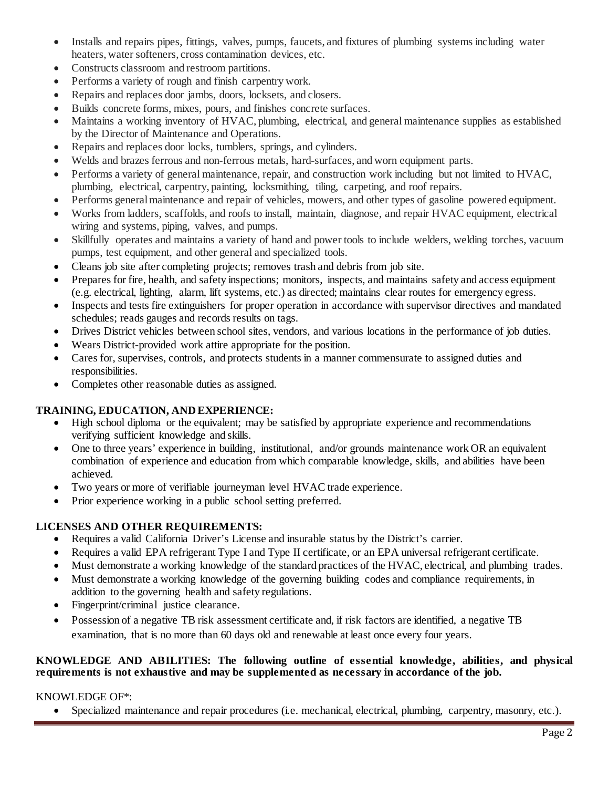- Installs and repairs pipes, fittings, valves, pumps, faucets, and fixtures of plumbing systems including water heaters, water softeners, cross contamination devices, etc.
- Constructs classroom and restroom partitions.
- Performs a variety of rough and finish carpentry work.
- Repairs and replaces door jambs, doors, locksets, and closers.
- Builds concrete forms, mixes, pours, and finishes concrete surfaces.
- Maintains a working inventory of HVAC, plumbing, electrical, and general maintenance supplies as established by the Director of Maintenance and Operations.
- Repairs and replaces door locks, tumblers, springs, and cylinders.
- Welds and brazes ferrous and non-ferrous metals, hard-surfaces, and worn equipment parts.
- Performs a variety of general maintenance, repair, and construction work including but not limited to HVAC, plumbing, electrical, carpentry, painting, locksmithing, tiling, carpeting, and roof repairs.
- Performs general maintenance and repair of vehicles, mowers, and other types of gasoline powered equipment.
- Works from ladders, scaffolds, and roofs to install, maintain, diagnose, and repair HVAC equipment, electrical wiring and systems, piping, valves, and pumps.
- Skillfully operates and maintains a variety of hand and power tools to include welders, welding torches, vacuum pumps, test equipment, and other general and specialized tools.
- Cleans job site after completing projects; removes trash and debris from job site.
- Prepares for fire, health, and safety inspections; monitors, inspects, and maintains safety and access equipment (e.g. electrical, lighting, alarm, lift systems, etc.) as directed; maintains clear routes for emergency egress.
- Inspects and tests fire extinguishers for proper operation in accordance with supervisor directives and mandated schedules; reads gauges and records results on tags.
- Drives District vehicles between school sites, vendors, and various locations in the performance of job duties.
- Wears District-provided work attire appropriate for the position.
- Cares for, supervises, controls, and protects students in a manner commensurate to assigned duties and responsibilities.
- Completes other reasonable duties as assigned.

# **TRAINING, EDUCATION, AND EXPERIENCE:**

- High school diploma or the equivalent; may be satisfied by appropriate experience and recommendations verifying sufficient knowledge and skills.
- One to three years' experience in building, institutional, and/or grounds maintenance work OR an equivalent combination of experience and education from which comparable knowledge, skills, and abilities have been achieved.
- Two years or more of verifiable journeyman level HVAC trade experience.
- Prior experience working in a public school setting preferred.

# **LICENSES AND OTHER REQUIREMENTS:**

- Requires a valid California Driver's License and insurable status by the District's carrier.
- Requires a valid EPA refrigerant Type I and Type II certificate, or an EPA universal refrigerant certificate.
- Must demonstrate a working knowledge of the standard practices of the HVAC, electrical, and plumbing trades.
- Must demonstrate a working knowledge of the governing building codes and compliance requirements, in addition to the governing health and safety regulations.
- Fingerprint/criminal justice clearance.
- Possession of a negative TB risk assessment certificate and, if risk factors are identified, a negative TB examination, that is no more than 60 days old and renewable at least once every four years.

#### **KNOWLEDGE AND ABILITIES: The following outline of essential knowledge, abilities, and physical requirements is not exhaustive and may be supplemented as necessary in accordance of the job.**

# KNOWLEDGE OF\*:

• Specialized maintenance and repair procedures (i.e. mechanical, electrical, plumbing, carpentry, masonry, etc.).